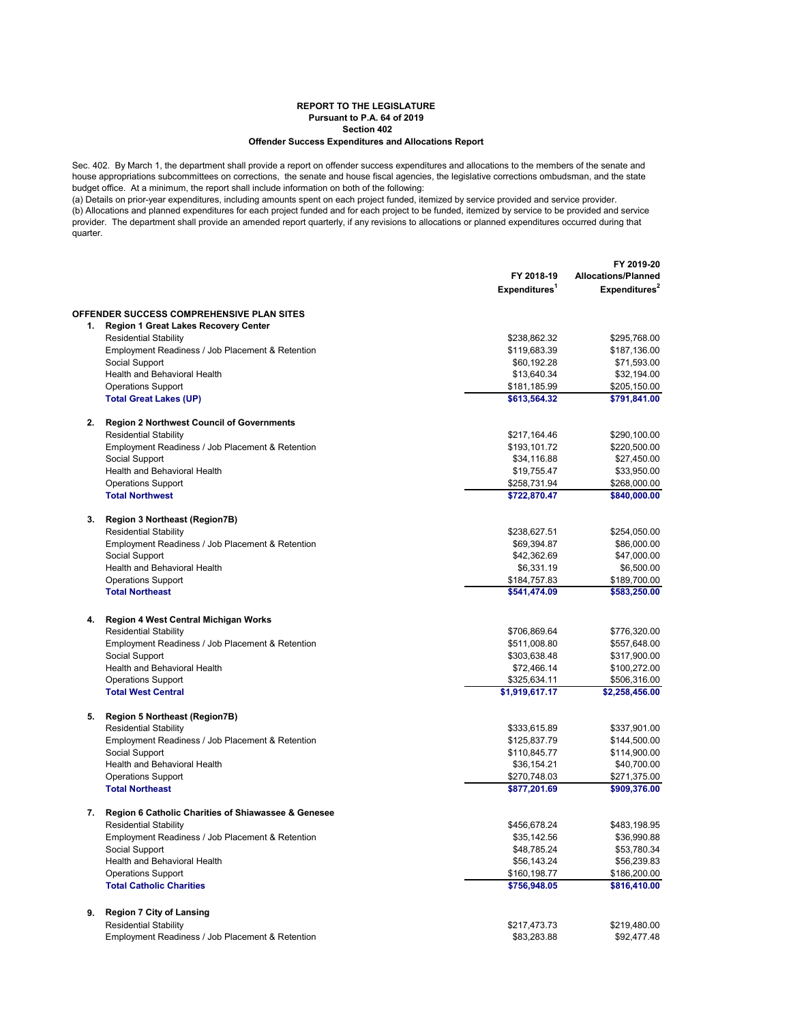## **REPORT TO THE LEGISLATURE Pursuant to P.A. 64 of 2019 Section 402 Offender Success Expenditures and Allocations Report**

Sec. 402. By March 1, the department shall provide a report on offender success expenditures and allocations to the members of the senate and house appropriations subcommittees on corrections, the senate and house fiscal agencies, the legislative corrections ombudsman, and the state budget office. At a minimum, the report shall include information on both of the following:

(a) Details on prior-year expenditures, including amounts spent on each project funded, itemized by service provided and service provider. (b) Allocations and planned expenditures for each project funded and for each project to be funded, itemized by service to be provided and service provider. The department shall provide an amended report quarterly, if any revisions to allocations or planned expenditures occurred during that .<br>quarter.

|    |                                                     | FY 2018-19<br>Expenditures <sup>1</sup> | FY 2019-20<br><b>Allocations/Planned</b><br>Expenditures <sup>2</sup> |
|----|-----------------------------------------------------|-----------------------------------------|-----------------------------------------------------------------------|
|    | <b>OFFENDER SUCCESS COMPREHENSIVE PLAN SITES</b>    |                                         |                                                                       |
|    | 1. Region 1 Great Lakes Recovery Center             |                                         |                                                                       |
|    | <b>Residential Stability</b>                        | \$238,862.32                            | \$295,768.00                                                          |
|    | Employment Readiness / Job Placement & Retention    | \$119,683.39                            | \$187,136.00                                                          |
|    | Social Support                                      | \$60,192.28                             | \$71,593.00                                                           |
|    | Health and Behavioral Health                        | \$13,640.34                             | \$32,194.00                                                           |
|    | <b>Operations Support</b>                           | \$181,185.99                            | \$205,150.00                                                          |
|    | <b>Total Great Lakes (UP)</b>                       | \$613,564.32                            | \$791,841.00                                                          |
| 2. | <b>Region 2 Northwest Council of Governments</b>    |                                         |                                                                       |
|    | <b>Residential Stability</b>                        | \$217,164.46                            | \$290,100.00                                                          |
|    | Employment Readiness / Job Placement & Retention    | \$193,101.72                            | \$220,500.00                                                          |
|    | Social Support                                      | \$34,116.88                             | \$27,450.00                                                           |
|    | Health and Behavioral Health                        | \$19,755.47                             | \$33,950.00                                                           |
|    | <b>Operations Support</b>                           | \$258,731.94                            | \$268,000.00                                                          |
|    | <b>Total Northwest</b>                              | \$722,870.47                            | \$840,000.00                                                          |
| 3. | <b>Region 3 Northeast (Region7B)</b>                |                                         |                                                                       |
|    | <b>Residential Stability</b>                        | \$238,627.51                            | \$254,050.00                                                          |
|    | Employment Readiness / Job Placement & Retention    | \$69,394.87                             | \$86,000.00                                                           |
|    | Social Support                                      | \$42,362.69                             | \$47,000.00                                                           |
|    | Health and Behavioral Health                        | \$6,331.19                              | \$6,500.00                                                            |
|    | <b>Operations Support</b>                           | \$184,757.83                            | \$189,700.00                                                          |
|    | <b>Total Northeast</b>                              | \$541,474.09                            | \$583,250.00                                                          |
| 4. | Region 4 West Central Michigan Works                |                                         |                                                                       |
|    | <b>Residential Stability</b>                        | \$706,869.64                            | \$776,320.00                                                          |
|    | Employment Readiness / Job Placement & Retention    | \$511,008.80                            | \$557,648.00                                                          |
|    | Social Support                                      | \$303,638.48                            | \$317,900.00                                                          |
|    | Health and Behavioral Health                        | \$72,466.14                             | \$100,272.00                                                          |
|    | <b>Operations Support</b>                           | \$325,634.11                            | \$506,316.00                                                          |
|    | <b>Total West Central</b>                           | \$1,919,617.17                          | \$2,258,456.00                                                        |
| 5. | <b>Region 5 Northeast (Region7B)</b>                |                                         |                                                                       |
|    | <b>Residential Stability</b>                        | \$333,615.89                            | \$337,901.00                                                          |
|    | Employment Readiness / Job Placement & Retention    | \$125,837.79                            | \$144,500.00                                                          |
|    | Social Support                                      | \$110,845.77                            | \$114,900.00                                                          |
|    | Health and Behavioral Health                        | \$36,154.21                             | \$40,700.00                                                           |
|    | <b>Operations Support</b>                           | \$270,748.03                            | \$271,375.00                                                          |
|    | <b>Total Northeast</b>                              | \$877,201.69                            | \$909,376.00                                                          |
| 7. | Region 6 Catholic Charities of Shiawassee & Genesee |                                         |                                                                       |
|    | <b>Residential Stability</b>                        | \$456,678.24                            | \$483,198.95                                                          |
|    | Employment Readiness / Job Placement & Retention    | \$35,142.56                             | \$36,990.88                                                           |
|    | Social Support                                      | \$48,785.24                             | \$53,780.34                                                           |
|    | Health and Behavioral Health                        | \$56,143.24                             | \$56,239.83                                                           |
|    | <b>Operations Support</b>                           | \$160,198.77                            | \$186,200.00                                                          |
|    | <b>Total Catholic Charities</b>                     | \$756,948.05                            | \$816,410.00                                                          |
| 9. | <b>Region 7 City of Lansing</b>                     |                                         |                                                                       |
|    | <b>Residential Stability</b>                        | \$217,473.73                            | \$219,480.00                                                          |
|    | Employment Readiness / Job Placement & Retention    | \$83,283.88                             | \$92,477.48                                                           |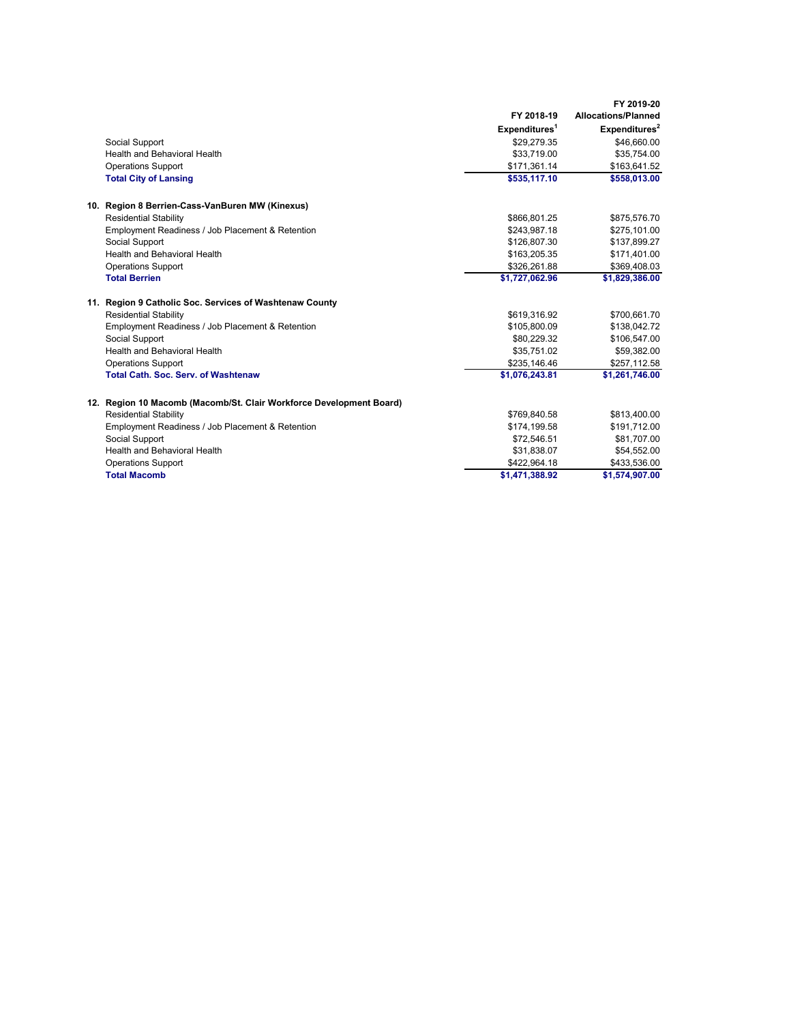|                                                                     |                           | FY 2019-20                 |
|---------------------------------------------------------------------|---------------------------|----------------------------|
|                                                                     | FY 2018-19                | <b>Allocations/Planned</b> |
|                                                                     | Expenditures <sup>1</sup> | Expenditures <sup>2</sup>  |
| Social Support                                                      | \$29,279.35               | \$46,660.00                |
| Health and Behavioral Health                                        | \$33,719.00               | \$35,754.00                |
| <b>Operations Support</b>                                           | \$171,361.14              | \$163,641.52               |
| <b>Total City of Lansing</b>                                        | \$535,117.10              | \$558,013.00               |
| 10. Region 8 Berrien-Cass-VanBuren MW (Kinexus)                     |                           |                            |
| <b>Residential Stability</b>                                        | \$866,801.25              | \$875,576.70               |
| Employment Readiness / Job Placement & Retention                    | \$243,987.18              | \$275,101.00               |
| Social Support                                                      | \$126.807.30              | \$137,899.27               |
| <b>Health and Behavioral Health</b>                                 | \$163,205.35              | \$171,401.00               |
| <b>Operations Support</b>                                           | \$326,261.88              | \$369,408.03               |
| <b>Total Berrien</b>                                                | \$1,727,062.96            | \$1,829,386.00             |
| 11. Region 9 Catholic Soc. Services of Washtenaw County             |                           |                            |
| <b>Residential Stability</b>                                        | \$619,316.92              | \$700,661.70               |
| Employment Readiness / Job Placement & Retention                    | \$105,800.09              | \$138,042.72               |
| Social Support                                                      | \$80,229.32               | \$106,547.00               |
| Health and Behavioral Health                                        | \$35,751.02               | \$59,382.00                |
| <b>Operations Support</b>                                           | \$235,146.46              | \$257,112.58               |
| <b>Total Cath. Soc. Serv. of Washtenaw</b>                          | \$1,076,243.81            | \$1,261,746.00             |
| 12. Region 10 Macomb (Macomb/St. Clair Workforce Development Board) |                           |                            |
| <b>Residential Stability</b>                                        | \$769,840.58              | \$813,400.00               |
| Employment Readiness / Job Placement & Retention                    | \$174,199.58              | \$191,712.00               |
| Social Support                                                      | \$72,546.51               | \$81,707.00                |
| Health and Behavioral Health                                        | \$31,838.07               | \$54,552.00                |
| <b>Operations Support</b>                                           | \$422,964.18              | \$433,536.00               |
| <b>Total Macomb</b>                                                 | \$1,471,388.92            | \$1,574,907.00             |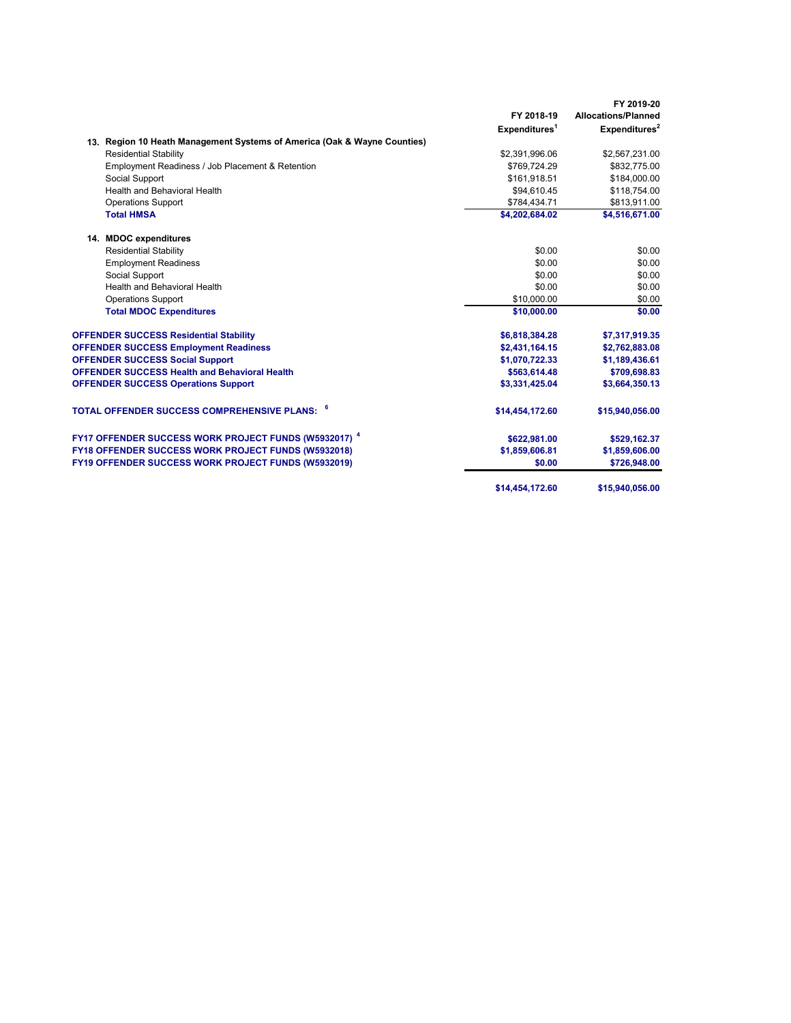|                                                                          | FY 2018-19                | FY 2019-20<br><b>Allocations/Planned</b> |
|--------------------------------------------------------------------------|---------------------------|------------------------------------------|
|                                                                          | Expenditures <sup>1</sup> | Expenditures <sup>2</sup>                |
|                                                                          |                           |                                          |
| 13. Region 10 Heath Management Systems of America (Oak & Wayne Counties) |                           |                                          |
| <b>Residential Stability</b>                                             | \$2,391,996.06            | \$2,567,231.00                           |
| Employment Readiness / Job Placement & Retention                         | \$769,724.29              | \$832,775.00                             |
| Social Support                                                           | \$161,918.51              | \$184,000.00                             |
| Health and Behavioral Health                                             | \$94,610.45               | \$118,754.00                             |
| <b>Operations Support</b>                                                | \$784,434.71              | \$813,911.00                             |
| <b>Total HMSA</b>                                                        | \$4,202,684.02            | \$4,516,671.00                           |
| 14. MDOC expenditures                                                    |                           |                                          |
| <b>Residential Stability</b>                                             | \$0.00                    | \$0.00                                   |
| <b>Employment Readiness</b>                                              | \$0.00                    | \$0.00                                   |
| Social Support                                                           | \$0.00                    | \$0.00                                   |
| <b>Health and Behavioral Health</b>                                      | \$0.00                    | \$0.00                                   |
| <b>Operations Support</b>                                                | \$10,000.00               | \$0.00                                   |
| <b>Total MDOC Expenditures</b>                                           | \$10,000.00               | \$0.00                                   |
| <b>OFFENDER SUCCESS Residential Stability</b>                            | \$6,818,384.28            | \$7,317,919.35                           |
| <b>OFFENDER SUCCESS Employment Readiness</b>                             | \$2,431,164.15            | \$2,762,883.08                           |
| <b>OFFENDER SUCCESS Social Support</b>                                   | \$1,070,722.33            | \$1,189,436.61                           |
| <b>OFFENDER SUCCESS Health and Behavioral Health</b>                     | \$563,614.48              | \$709,698.83                             |
| <b>OFFENDER SUCCESS Operations Support</b>                               | \$3,331,425.04            | \$3,664,350.13                           |
| TOTAL OFFENDER SUCCESS COMPREHENSIVE PLANS: 『                            | \$14,454,172.60           | \$15,940,056.00                          |
| FY17 OFFENDER SUCCESS WORK PROJECT FUNDS (W5932017) <sup>4</sup>         | \$622,981.00              | \$529,162.37                             |
| FY18 OFFENDER SUCCESS WORK PROJECT FUNDS (W5932018)                      | \$1,859,606.81            | \$1,859,606.00                           |
| FY19 OFFENDER SUCCESS WORK PROJECT FUNDS (W5932019)                      | \$0.00                    | \$726,948.00                             |
|                                                                          |                           |                                          |
|                                                                          | \$14,454,172.60           | \$15,940,056.00                          |